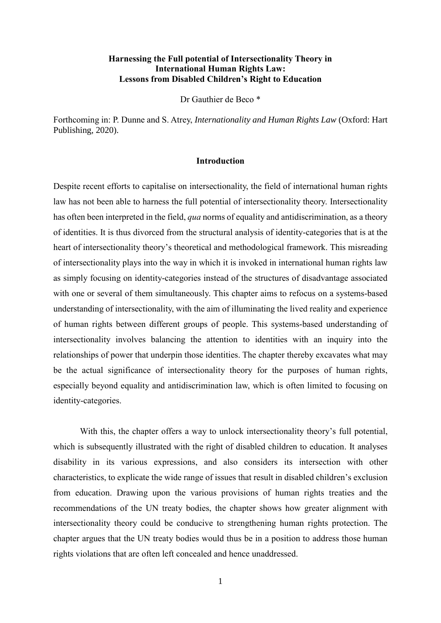# **Harnessing the Full potential of Intersectionality Theory in International Human Rights Law: Lessons from Disabled Children's Right to Education**

Dr Gauthier de Beco \*

Forthcoming in: P. Dunne and S. Atrey, *Internationality and Human Rights Law* (Oxford: Hart Publishing, 2020).

### **Introduction**

Despite recent efforts to capitalise on intersectionality, the field of international human rights law has not been able to harness the full potential of intersectionality theory. Intersectionality has often been interpreted in the field, *qua* norms of equality and antidiscrimination, as a theory of identities. It is thus divorced from the structural analysis of identity-categories that is at the heart of intersectionality theory's theoretical and methodological framework. This misreading of intersectionality plays into the way in which it is invoked in international human rights law as simply focusing on identity-categories instead of the structures of disadvantage associated with one or several of them simultaneously. This chapter aims to refocus on a systems-based understanding of intersectionality, with the aim of illuminating the lived reality and experience of human rights between different groups of people. This systems-based understanding of intersectionality involves balancing the attention to identities with an inquiry into the relationships of power that underpin those identities. The chapter thereby excavates what may be the actual significance of intersectionality theory for the purposes of human rights, especially beyond equality and antidiscrimination law, which is often limited to focusing on identity-categories.

With this, the chapter offers a way to unlock intersectionality theory's full potential, which is subsequently illustrated with the right of disabled children to education. It analyses disability in its various expressions, and also considers its intersection with other characteristics, to explicate the wide range of issues that result in disabled children's exclusion from education. Drawing upon the various provisions of human rights treaties and the recommendations of the UN treaty bodies, the chapter shows how greater alignment with intersectionality theory could be conducive to strengthening human rights protection. The chapter argues that the UN treaty bodies would thus be in a position to address those human rights violations that are often left concealed and hence unaddressed.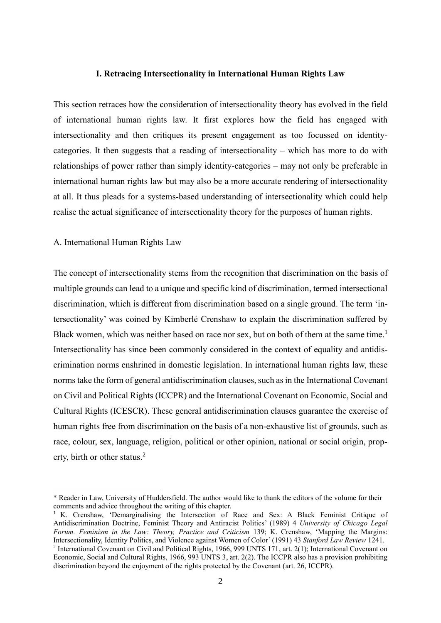### **I. Retracing Intersectionality in International Human Rights Law**

This section retraces how the consideration of intersectionality theory has evolved in the field of international human rights law. It first explores how the field has engaged with intersectionality and then critiques its present engagement as too focussed on identitycategories. It then suggests that a reading of intersectionality – which has more to do with relationships of power rather than simply identity-categories – may not only be preferable in international human rights law but may also be a more accurate rendering of intersectionality at all. It thus pleads for a systems-based understanding of intersectionality which could help realise the actual significance of intersectionality theory for the purposes of human rights.

## A. International Human Rights Law

<u>.</u>

The concept of intersectionality stems from the recognition that discrimination on the basis of multiple grounds can lead to a unique and specific kind of discrimination, termed intersectional discrimination, which is different from discrimination based on a single ground. The term 'intersectionality' was coined by Kimberlé Crenshaw to explain the discrimination suffered by Black women, which was neither based on race nor sex, but on both of them at the same time.<sup>1</sup> Intersectionality has since been commonly considered in the context of equality and antidiscrimination norms enshrined in domestic legislation. In international human rights law, these norms take the form of general antidiscrimination clauses, such as in the International Covenant on Civil and Political Rights (ICCPR) and the International Covenant on Economic, Social and Cultural Rights (ICESCR). These general antidiscrimination clauses guarantee the exercise of human rights free from discrimination on the basis of a non-exhaustive list of grounds, such as race, colour, sex, language, religion, political or other opinion, national or social origin, property, birth or other status. 2

<sup>\*</sup> Reader in Law, University of Huddersfield. The author would like to thank the editors of the volume for their comments and advice throughout the writing of this chapter.

<sup>&</sup>lt;sup>1</sup> K. Crenshaw, 'Demarginalising the Intersection of Race and Sex: A Black Feminist Critique of Antidiscrimination Doctrine, Feminist Theory and Antiracist Politics' (1989) 4 *University of Chicago Legal Forum. Feminism in the Law: Theory, Practice and Criticism* 139; K. Crenshaw, 'Mapping the Margins: Intersectionality, Identity Politics, and Violence against Women of Color' (1991) 43 *Stanford Law Review* 1241. <sup>2</sup> International Covenant on Civil and Political Rights, 1966, 999 UNTS 171, art. 2(1); International Covenant on Economic, Social and Cultural Rights, 1966, 993 UNTS 3, art. 2(2). The ICCPR also has a provision prohibiting discrimination beyond the enjoyment of the rights protected by the Covenant (art. 26, ICCPR).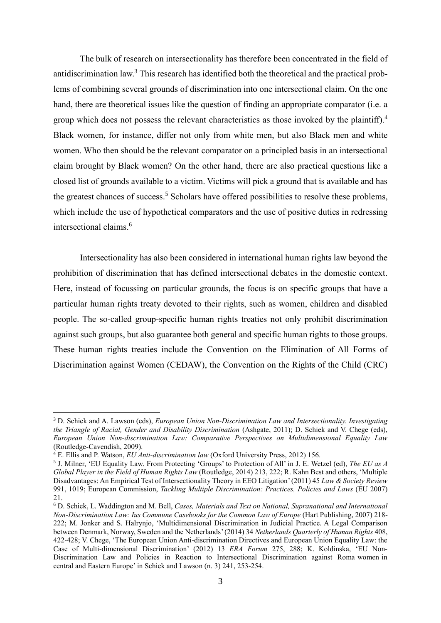The bulk of research on intersectionality has therefore been concentrated in the field of antidiscrimination law.<sup>3</sup> This research has identified both the theoretical and the practical problems of combining several grounds of discrimination into one intersectional claim. On the one hand, there are theoretical issues like the question of finding an appropriate comparator (i.e. a group which does not possess the relevant characteristics as those invoked by the plaintiff). 4 Black women, for instance, differ not only from white men, but also Black men and white women. Who then should be the relevant comparator on a principled basis in an intersectional claim brought by Black women? On the other hand, there are also practical questions like a closed list of grounds available to a victim. Victims will pick a ground that is available and has the greatest chances of success.<sup>5</sup> Scholars have offered possibilities to resolve these problems, which include the use of hypothetical comparators and the use of positive duties in redressing intersectional claims. 6

Intersectionality has also been considered in international human rights law beyond the prohibition of discrimination that has defined intersectional debates in the domestic context. Here, instead of focussing on particular grounds, the focus is on specific groups that have a particular human rights treaty devoted to their rights, such as women, children and disabled people. The so-called group-specific human rights treaties not only prohibit discrimination against such groups, but also guarantee both general and specific human rights to those groups. These human rights treaties include the Convention on the Elimination of All Forms of Discrimination against Women (CEDAW), the Convention on the Rights of the Child (CRC)

<sup>3</sup> D. Schiek and A. Lawson (eds), *European Union Non-Discrimination Law and Intersectionality. Investigating the Triangle of Racial, Gender and Disability Discrimination* (Ashgate, 2011); D. Schiek and V. Chege (eds), *European Union Non-discrimination Law: Comparative Perspectives on Multidimensional Equality Law* (Routledge-Cavendish, 2009).

<sup>4</sup> E. Ellis and P. Watson, *EU Anti-discrimination law* (Oxford University Press, 2012) 156.

<sup>5</sup> J. Milner, 'EU Equality Law. From Protecting 'Groups' to Protection of All' in J. E. Wetzel (ed), *The EU as A Global Player in the Field of Human Rights Law* (Routledge, 2014) 213, 222; R. Kahn Best and others, 'Multiple Disadvantages: An Empirical Test of Intersectionality Theory in EEO Litigation' (2011) 45 *Law & Society Review*  991, 1019; European Commission, *Tackling Multiple Discrimination: Practices, Policies and Laws* (EU 2007) 21.

<sup>6</sup> D. Schiek, L. Waddington and M. Bell, *Cases, Materials and Text on National, Supranational and International Non-Discrimination Law: Ius Commune Casebooks for the Common Law of Europe* (Hart Publishing, 2007) 218- 222; M. Jonker and S. Halrynjo, 'Multidimensional Discrimination in Judicial Practice. A Legal Comparison between Denmark, Norway, Sweden and the Netherlands' (2014) 34 *Netherlands Quarterly of Human Rights* 408, 422-428; V. Chege, 'The European Union Anti-discrimination Directives and European Union Equality Law: the Case of Multi-dimensional Discrimination' (2012) 13 *ERA Forum* 275, 288; K. Koldinska, 'EU Non-Discrimination Law and Policies in Reaction to Intersectional Discrimination against Roma women in central and Eastern Europe' in Schiek and Lawson (n. 3) 241, 253-254.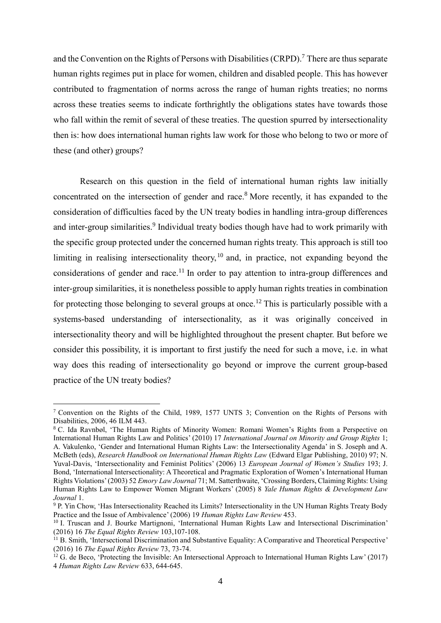and the Convention on the Rights of Persons with Disabilities (CRPD).<sup>7</sup> There are thus separate human rights regimes put in place for women, children and disabled people. This has however contributed to fragmentation of norms across the range of human rights treaties; no norms across these treaties seems to indicate forthrightly the obligations states have towards those who fall within the remit of several of these treaties. The question spurred by intersectionality then is: how does international human rights law work for those who belong to two or more of these (and other) groups?

Research on this question in the field of international human rights law initially concentrated on the intersection of gender and race. <sup>8</sup> More recently, it has expanded to the consideration of difficulties faced by the UN treaty bodies in handling intra-group differences and inter-group similarities.<sup>9</sup> Individual treaty bodies though have had to work primarily with the specific group protected under the concerned human rights treaty. This approach is still too limiting in realising intersectionality theory,<sup>10</sup> and, in practice, not expanding beyond the considerations of gender and race.<sup>11</sup> In order to pay attention to intra-group differences and inter-group similarities, it is nonetheless possible to apply human rights treaties in combination for protecting those belonging to several groups at once.<sup>12</sup> This is particularly possible with a systems-based understanding of intersectionality, as it was originally conceived in intersectionality theory and will be highlighted throughout the present chapter. But before we consider this possibility, it is important to first justify the need for such a move, i.e. in what way does this reading of intersectionality go beyond or improve the current group-based practice of the UN treaty bodies?

<sup>7</sup> Convention on the Rights of the Child, 1989, 1577 UNTS 3; Convention on the Rights of Persons with Disabilities, 2006, 46 ILM 443.

<sup>&</sup>lt;sup>8</sup> C. Ida Ravnbøl, 'The Human Rights of Minority Women: Romani Women's Rights from a Perspective on International Human Rights Law and Politics' (2010) 17 *International Journal on Minority and Group Rights* 1; A. Vakulenko, 'Gender and International Human Rights Law: the Intersectionality Agenda' in S. Joseph and A. McBeth (eds), *Research Handbook on International Human Rights Law* (Edward Elgar Publishing, 2010) 97; N. Yuval-Davis, 'Intersectionality and Feminist Politics' (2006) 13 *European Journal of Women's Studies* 193; J. Bond, 'International Intersectionality: A Theoretical and Pragmatic Exploration of Women's International Human Rights Violations' (2003) 52 *Emory Law Journal* 71; M. Satterthwaite, 'Crossing Borders, Claiming Rights: Using Human Rights Law to Empower Women Migrant Workers' (2005) 8 *Yale Human Rights & Development Law Journal* 1.

<sup>&</sup>lt;sup>9</sup> P. Yin Chow, 'Has Intersectionality Reached its Limits? Intersectionality in the UN Human Rights Treaty Body Practice and the Issue of Ambivalence' (2006) 19 *Human Rights Law Review* 453.

<sup>&</sup>lt;sup>10</sup> I. Truscan and J. Bourke Martignoni, 'International Human Rights Law and Intersectional Discrimination' (2016) 16 *The Equal Rights Review* 103,107-108.

 $11$  B. Smith, 'Intersectional Discrimination and Substantive Equality: A Comparative and Theoretical Perspective' (2016) 16 *The Equal Rights Review* 73, 73-74.

<sup>&</sup>lt;sup>12</sup> G. de Beco, 'Protecting the Invisible: An Intersectional Approach to International Human Rights Law' (2017) 4 *Human Rights Law Review* 633, 644-645.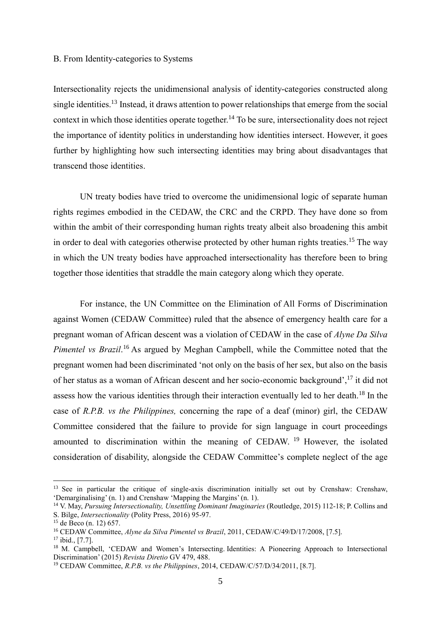### B. From Identity-categories to Systems

Intersectionality rejects the unidimensional analysis of identity-categories constructed along single identities.<sup>13</sup> Instead, it draws attention to power relationships that emerge from the social context in which those identities operate together. <sup>14</sup> To be sure, intersectionality does not reject the importance of identity politics in understanding how identities intersect. However, it goes further by highlighting how such intersecting identities may bring about disadvantages that transcend those identities.

UN treaty bodies have tried to overcome the unidimensional logic of separate human rights regimes embodied in the CEDAW, the CRC and the CRPD. They have done so from within the ambit of their corresponding human rights treaty albeit also broadening this ambit in order to deal with categories otherwise protected by other human rights treaties.<sup>15</sup> The way in which the UN treaty bodies have approached intersectionality has therefore been to bring together those identities that straddle the main category along which they operate.

For instance, the UN Committee on the Elimination of All Forms of Discrimination against Women (CEDAW Committee) ruled that the absence of emergency health care for a pregnant woman of African descent was a violation of CEDAW in the case of *Alyne Da Silva*  Pimentel vs Brazil.<sup>16</sup> As argued by Meghan Campbell, while the Committee noted that the pregnant women had been discriminated 'not only on the basis of her sex, but also on the basis of her status as a woman of African descent and her socio-economic background',<sup>17</sup> it did not assess how the various identities through their interaction eventually led to her death.<sup>18</sup> In the case of *R.P.B. vs the Philippines,* concerning the rape of a deaf (minor) girl, the CEDAW Committee considered that the failure to provide for sign language in court proceedings amounted to discrimination within the meaning of CEDAW.<sup>19</sup> However, the isolated consideration of disability, alongside the CEDAW Committee's complete neglect of the age

<sup>&</sup>lt;sup>13</sup> See in particular the critique of single-axis discrimination initially set out by Crenshaw: Crenshaw, 'Demarginalising' (n. 1) and Crenshaw 'Mapping the Margins' (n. 1).

<sup>14</sup> V. May, *Pursuing Intersectionality, Unsettling Dominant Imaginaries* (Routledge, 2015) 112-18; P. Collins and S. Bilge, *Intersectionality* (Polity Press, 2016) 95-97.

<sup>15</sup> de Beco (n. 12) 657.

<sup>16</sup> CEDAW Committee, *Alyne da Silva Pimentel vs Brazil*, 2011, CEDAW/C/49/D/17/2008, [7.5].

<sup>17</sup> ibid., [7.7].

<sup>&</sup>lt;sup>18</sup> M. Campbell, 'CEDAW and Women's Intersecting. Identities: A Pioneering Approach to Intersectional Discrimination' (2015) *Revista Diretio* GV 479, 488.

<sup>19</sup> CEDAW Committee, *R.P.B. vs the Philippines*, 2014, CEDAW/C/57/D/34/2011, [8.7].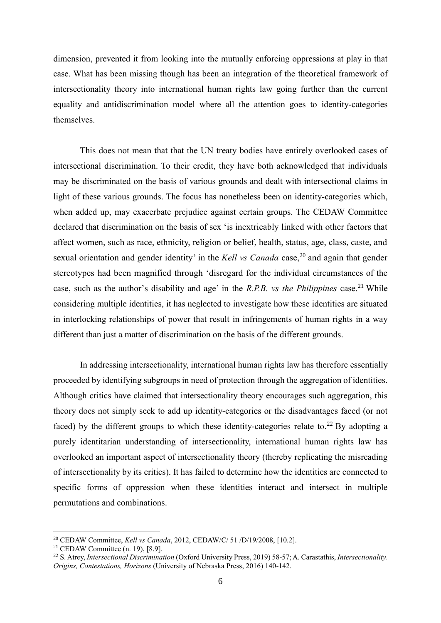dimension, prevented it from looking into the mutually enforcing oppressions at play in that case. What has been missing though has been an integration of the theoretical framework of intersectionality theory into international human rights law going further than the current equality and antidiscrimination model where all the attention goes to identity-categories themselves.

This does not mean that that the UN treaty bodies have entirely overlooked cases of intersectional discrimination. To their credit, they have both acknowledged that individuals may be discriminated on the basis of various grounds and dealt with intersectional claims in light of these various grounds. The focus has nonetheless been on identity-categories which, when added up, may exacerbate prejudice against certain groups. The CEDAW Committee declared that discrimination on the basis of sex 'is inextricably linked with other factors that affect women, such as race, ethnicity, religion or belief, health, status, age, class, caste, and sexual orientation and gender identity' in the *Kell vs Canada* case,<sup>20</sup> and again that gender stereotypes had been magnified through 'disregard for the individual circumstances of the case, such as the author's disability and age' in the *R.P.B.* vs the *Philippines* case.<sup>21</sup> While considering multiple identities, it has neglected to investigate how these identities are situated in interlocking relationships of power that result in infringements of human rights in a way different than just a matter of discrimination on the basis of the different grounds.

In addressing intersectionality, international human rights law has therefore essentially proceeded by identifying subgroups in need of protection through the aggregation of identities. Although critics have claimed that intersectionality theory encourages such aggregation, this theory does not simply seek to add up identity-categories or the disadvantages faced (or not faced) by the different groups to which these identity-categories relate to.<sup>22</sup> By adopting a purely identitarian understanding of intersectionality, international human rights law has overlooked an important aspect of intersectionality theory (thereby replicating the misreading of intersectionality by its critics). It has failed to determine how the identities are connected to specific forms of oppression when these identities interact and intersect in multiple permutations and combinations.

<sup>20</sup> CEDAW Committee, *Kell vs Canada*, 2012, CEDAW/C/ 51 /D/19/2008, [10.2].

<sup>21</sup> CEDAW Committee (n. 19), [8.9].

<sup>22</sup> S. Atrey, *Intersectional Discrimination* (Oxford University Press, 2019) 58-57; A. Carastathis, *Intersectionality. Origins, Contestations, Horizons* (University of Nebraska Press, 2016) 140-142.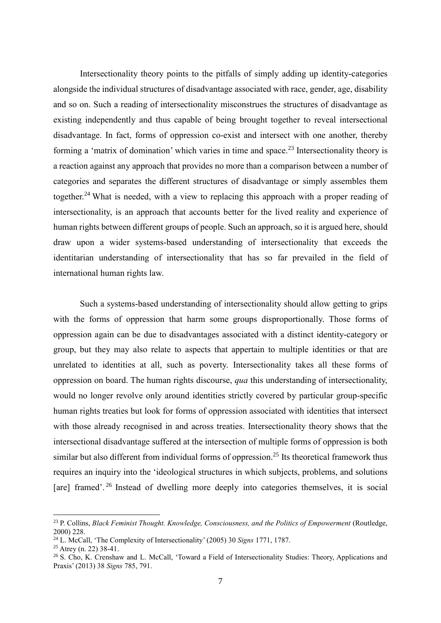Intersectionality theory points to the pitfalls of simply adding up identity-categories alongside the individual structures of disadvantage associated with race, gender, age, disability and so on. Such a reading of intersectionality misconstrues the structures of disadvantage as existing independently and thus capable of being brought together to reveal intersectional disadvantage. In fact, forms of oppression co-exist and intersect with one another, thereby forming a 'matrix of domination' which varies in time and space. <sup>23</sup> Intersectionality theory is a reaction against any approach that provides no more than a comparison between a number of categories and separates the different structures of disadvantage or simply assembles them together.<sup>24</sup> What is needed, with a view to replacing this approach with a proper reading of intersectionality, is an approach that accounts better for the lived reality and experience of human rights between different groups of people. Such an approach, so it is argued here, should draw upon a wider systems-based understanding of intersectionality that exceeds the identitarian understanding of intersectionality that has so far prevailed in the field of international human rights law.

Such a systems-based understanding of intersectionality should allow getting to grips with the forms of oppression that harm some groups disproportionally. Those forms of oppression again can be due to disadvantages associated with a distinct identity-category or group, but they may also relate to aspects that appertain to multiple identities or that are unrelated to identities at all, such as poverty. Intersectionality takes all these forms of oppression on board. The human rights discourse, *qua* this understanding of intersectionality, would no longer revolve only around identities strictly covered by particular group-specific human rights treaties but look for forms of oppression associated with identities that intersect with those already recognised in and across treaties. Intersectionality theory shows that the intersectional disadvantage suffered at the intersection of multiple forms of oppression is both similar but also different from individual forms of oppression.<sup>25</sup> Its theoretical framework thus requires an inquiry into the 'ideological structures in which subjects, problems, and solutions [are] framed'.<sup>26</sup> Instead of dwelling more deeply into categories themselves, it is social

<sup>&</sup>lt;sup>23</sup> P. Collins, *Black Feminist Thought. Knowledge, Consciousness, and the Politics of Empowerment* (Routledge, 2000) 228.

<sup>24</sup> L. McCall, 'The Complexity of Intersectionality' (2005) 30 *Signs* 1771, 1787.

 $25$  Atrey (n. 22) 38-41.

<sup>&</sup>lt;sup>26</sup> S. Cho, K. Crenshaw and L. McCall, 'Toward a Field of Intersectionality Studies: Theory, Applications and Praxis' (2013) 38 *Signs* 785, 791.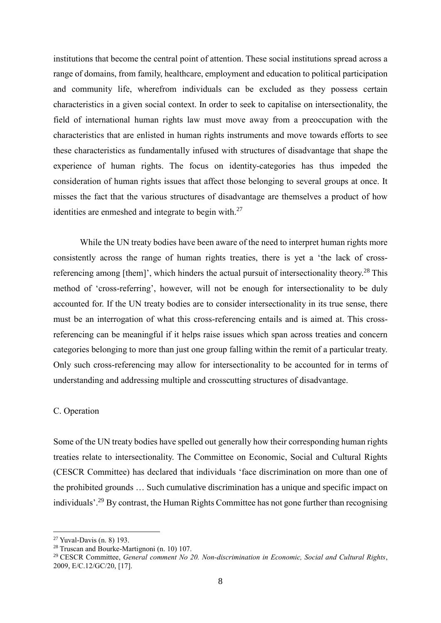institutions that become the central point of attention. These social institutions spread across a range of domains, from family, healthcare, employment and education to political participation and community life, wherefrom individuals can be excluded as they possess certain characteristics in a given social context. In order to seek to capitalise on intersectionality, the field of international human rights law must move away from a preoccupation with the characteristics that are enlisted in human rights instruments and move towards efforts to see these characteristics as fundamentally infused with structures of disadvantage that shape the experience of human rights. The focus on identity-categories has thus impeded the consideration of human rights issues that affect those belonging to several groups at once. It misses the fact that the various structures of disadvantage are themselves a product of how identities are enmeshed and integrate to begin with.<sup>27</sup>

While the UN treaty bodies have been aware of the need to interpret human rights more consistently across the range of human rights treaties, there is yet a 'the lack of crossreferencing among [them]', which hinders the actual pursuit of intersectionality theory.<sup>28</sup> This method of 'cross-referring', however, will not be enough for intersectionality to be duly accounted for. If the UN treaty bodies are to consider intersectionality in its true sense, there must be an interrogation of what this cross-referencing entails and is aimed at. This crossreferencing can be meaningful if it helps raise issues which span across treaties and concern categories belonging to more than just one group falling within the remit of a particular treaty. Only such cross-referencing may allow for intersectionality to be accounted for in terms of understanding and addressing multiple and crosscutting structures of disadvantage.

## C. Operation

Some of the UN treaty bodies have spelled out generally how their corresponding human rights treaties relate to intersectionality. The Committee on Economic, Social and Cultural Rights (CESCR Committee) has declared that individuals 'face discrimination on more than one of the prohibited grounds … Such cumulative discrimination has a unique and specific impact on individuals'.<sup>29</sup> By contrast, the Human Rights Committee has not gone further than recognising

<sup>27</sup> Yuval-Davis (n. 8) 193.

<sup>28</sup> Truscan and Bourke-Martignoni (n. 10) 107.

<sup>29</sup> CESCR Committee, *General comment No 20. Non-discrimination in Economic, Social and Cultural Rights*, 2009, E/C.12/GC/20, [17].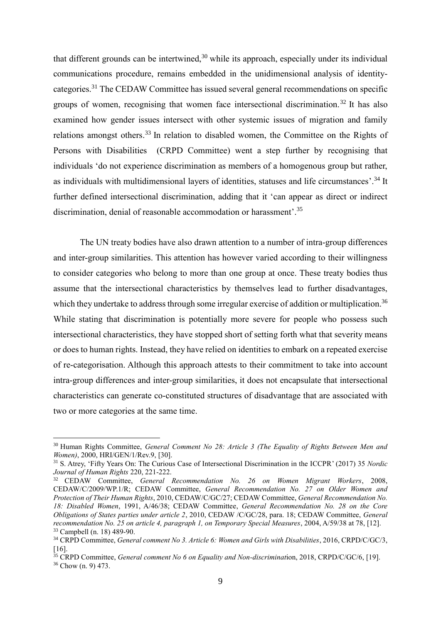that different grounds can be intertwined, $30$  while its approach, especially under its individual communications procedure, remains embedded in the unidimensional analysis of identitycategories.<sup>31</sup> The CEDAW Committee has issued several general recommendations on specific groups of women, recognising that women face intersectional discrimination.<sup>32</sup> It has also examined how gender issues intersect with other systemic issues of migration and family relations amongst others.<sup>33</sup> In relation to disabled women, the Committee on the Rights of Persons with Disabilities (CRPD Committee) went a step further by recognising that individuals 'do not experience discrimination as members of a homogenous group but rather, as individuals with multidimensional layers of identities, statuses and life circumstances'.<sup>34</sup> It further defined intersectional discrimination, adding that it 'can appear as direct or indirect discrimination, denial of reasonable accommodation or harassment'. 35

The UN treaty bodies have also drawn attention to a number of intra-group differences and inter-group similarities. This attention has however varied according to their willingness to consider categories who belong to more than one group at once. These treaty bodies thus assume that the intersectional characteristics by themselves lead to further disadvantages, which they undertake to address through some irregular exercise of addition or multiplication.<sup>36</sup> While stating that discrimination is potentially more severe for people who possess such intersectional characteristics, they have stopped short of setting forth what that severity means or does to human rights. Instead, they have relied on identities to embark on a repeated exercise of re-categorisation. Although this approach attests to their commitment to take into account intra-group differences and inter-group similarities, it does not encapsulate that intersectional characteristics can generate co-constituted structures of disadvantage that are associated with two or more categories at the same time.

<sup>&</sup>lt;sup>30</sup> Human Rights Committee, *General Comment No 28: Article 3 (The Equality of Rights Between Men and Women)*, 2000, HRI/GEN/1/Rev.9, [30].

<sup>31</sup> S. Atrey, 'Fifty Years On: The Curious Case of Intersectional Discrimination in the ICCPR' (2017) 35 *Nordic Journal of Human Rights* 220, 221-222.

<sup>32</sup> CEDAW Committee, *General Recommendation No. 26 on Women Migrant Workers*, 2008, CEDAW/C/2009/WP.1/R; CEDAW Committee, *General Recommendation No. 27 on Older Women and Protection of Their Human Rights*, 2010, CEDAW/C/GC/27; CEDAW Committee, *General Recommendation No. 18: Disabled Women*, 1991, A/46/38; CEDAW Committee, *General Recommendation No. 28 on the Core Obligations of States parties under article 2*, 2010, CEDAW /C/GC/28, para. 18; CEDAW Committee, *General recommendation No. 25 on article 4, paragraph 1, on Temporary Special Measures*, 2004, A/59/38 at 78, [12]. <sup>33</sup> Campbell (n. 18) 489-90.

<sup>34</sup> CRPD Committee, *General comment No 3. Article 6: Women and Girls with Disabilities*, 2016, CRPD/C/GC/3, [16].

<sup>35</sup> CRPD Committee, *General comment No 6 on Equality and Non-discriminat*ion, 2018, CRPD/C/GC/6, [19]. <sup>36</sup> Chow (n. 9) 473.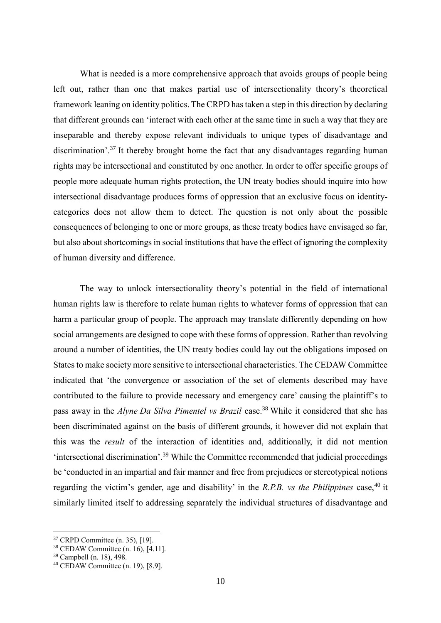What is needed is a more comprehensive approach that avoids groups of people being left out, rather than one that makes partial use of intersectionality theory's theoretical framework leaning on identity politics. The CRPD has taken a step in this direction by declaring that different grounds can 'interact with each other at the same time in such a way that they are inseparable and thereby expose relevant individuals to unique types of disadvantage and discrimination'.<sup>37</sup> It thereby brought home the fact that any disadvantages regarding human rights may be intersectional and constituted by one another. In order to offer specific groups of people more adequate human rights protection, the UN treaty bodies should inquire into how intersectional disadvantage produces forms of oppression that an exclusive focus on identitycategories does not allow them to detect. The question is not only about the possible consequences of belonging to one or more groups, as these treaty bodies have envisaged so far, but also about shortcomings in social institutions that have the effect of ignoring the complexity of human diversity and difference.

The way to unlock intersectionality theory's potential in the field of international human rights law is therefore to relate human rights to whatever forms of oppression that can harm a particular group of people. The approach may translate differently depending on how social arrangements are designed to cope with these forms of oppression. Rather than revolving around a number of identities, the UN treaty bodies could lay out the obligations imposed on States to make society more sensitive to intersectional characteristics. The CEDAW Committee indicated that 'the convergence or association of the set of elements described may have contributed to the failure to provide necessary and emergency care' causing the plaintiff's to pass away in the *Alyne Da Silva Pimentel vs Brazil* case.<sup>38</sup> While it considered that she has been discriminated against on the basis of different grounds, it however did not explain that this was the *result* of the interaction of identities and, additionally, it did not mention 'intersectional discrimination'.<sup>39</sup> While the Committee recommended that judicial proceedings be 'conducted in an impartial and fair manner and free from prejudices or stereotypical notions regarding the victim's gender, age and disability' in the *R.P.B. vs the Philippines* case,<sup>40</sup> it similarly limited itself to addressing separately the individual structures of disadvantage and

<sup>37</sup> CRPD Committee (n. 35), [19].

<sup>38</sup> CEDAW Committee (n. 16), [4.11].

<sup>39</sup> Campbell (n. 18), 498.

<sup>40</sup> CEDAW Committee (n. 19), [8.9].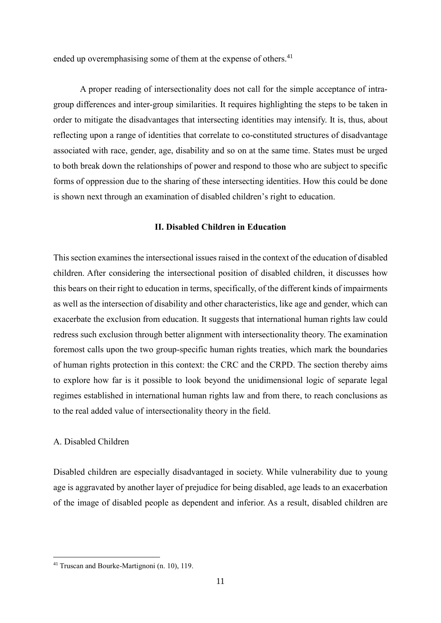ended up overemphasising some of them at the expense of others.<sup>41</sup>

A proper reading of intersectionality does not call for the simple acceptance of intragroup differences and inter-group similarities. It requires highlighting the steps to be taken in order to mitigate the disadvantages that intersecting identities may intensify. It is, thus, about reflecting upon a range of identities that correlate to co-constituted structures of disadvantage associated with race, gender, age, disability and so on at the same time. States must be urged to both break down the relationships of power and respond to those who are subject to specific forms of oppression due to the sharing of these intersecting identities. How this could be done is shown next through an examination of disabled children's right to education.

## **II. Disabled Children in Education**

This section examines the intersectional issues raised in the context of the education of disabled children. After considering the intersectional position of disabled children, it discusses how this bears on their right to education in terms, specifically, of the different kinds of impairments as well as the intersection of disability and other characteristics, like age and gender, which can exacerbate the exclusion from education. It suggests that international human rights law could redress such exclusion through better alignment with intersectionality theory. The examination foremost calls upon the two group-specific human rights treaties, which mark the boundaries of human rights protection in this context: the CRC and the CRPD. The section thereby aims to explore how far is it possible to look beyond the unidimensional logic of separate legal regimes established in international human rights law and from there, to reach conclusions as to the real added value of intersectionality theory in the field.

# A. Disabled Children

1

Disabled children are especially disadvantaged in society. While vulnerability due to young age is aggravated by another layer of prejudice for being disabled, age leads to an exacerbation of the image of disabled people as dependent and inferior. As a result, disabled children are

<sup>41</sup> Truscan and Bourke-Martignoni (n. 10), 119.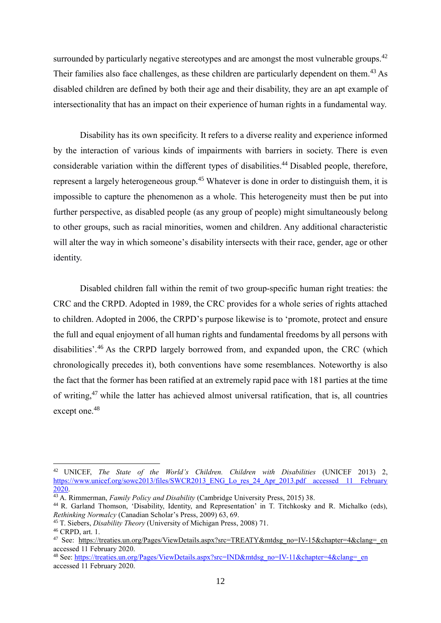surrounded by particularly negative stereotypes and are amongst the most vulnerable groups.<sup>42</sup> Their families also face challenges, as these children are particularly dependent on them.<sup>43</sup> As disabled children are defined by both their age and their disability, they are an apt example of intersectionality that has an impact on their experience of human rights in a fundamental way.

Disability has its own specificity. It refers to a diverse reality and experience informed by the interaction of various kinds of impairments with barriers in society. There is even considerable variation within the different types of disabilities. <sup>44</sup> Disabled people, therefore, represent a largely heterogeneous group.<sup>45</sup> Whatever is done in order to distinguish them, it is impossible to capture the phenomenon as a whole. This heterogeneity must then be put into further perspective, as disabled people (as any group of people) might simultaneously belong to other groups, such as racial minorities, women and children. Any additional characteristic will alter the way in which someone's disability intersects with their race, gender, age or other identity.

Disabled children fall within the remit of two group-specific human right treaties: the CRC and the CRPD. Adopted in 1989, the CRC provides for a whole series of rights attached to children. Adopted in 2006, the CRPD's purpose likewise is to 'promote, protect and ensure the full and equal enjoyment of all human rights and fundamental freedoms by all persons with disabilities'.<sup>46</sup> As the CRPD largely borrowed from, and expanded upon, the CRC (which chronologically precedes it), both conventions have some resemblances. Noteworthy is also the fact that the former has been ratified at an extremely rapid pace with 181 parties at the time of writing,<sup>47</sup> while the latter has achieved almost universal ratification, that is, all countries except one. 48

<sup>42</sup> UNICEF, *The State of the World's Children. Children with Disabilities* (UNICEF 2013) 2, https://www.unicef.org/sowc2013/files/SWCR2013\_ENG\_Lo\_res\_24\_Apr\_2013.pdf accessed 11 February [2020.](https://www.unicef.org/sowc2013/files/SWCR2013_ENG_Lo_res_24_Apr_2013.pdf%20accessed%2011%20February%202020)

<sup>43</sup> A. Rimmerman, *Family Policy and Disability* (Cambridge University Press, 2015) 38.

<sup>44</sup> R. Garland Thomson, 'Disability, Identity, and Representation' in T. Titchkosky and R. Michalko (eds), *Rethinking Normalcy* (Canadian Scholar's Press, 2009) 63, 69.

<sup>45</sup> T. Siebers, *Disability Theory* (University of Michigan Press, 2008) 71.

<sup>46</sup> CRPD, art. 1.

<sup>&</sup>lt;sup>47</sup> See: [https://treaties.un.org/Pages/ViewDetails.aspx?src=TREATY&mtdsg\\_no=IV-15&chapter=4&clang=\\_en](https://treaties.un.org/Pages/ViewDetails.aspx?src=TREATY&mtdsg_no=IV-15&chapter=4&clang=_en) accessed 11 February 2020.

<sup>48</sup> See[: https://treaties.un.org/Pages/ViewDetails.aspx?src=IND&mtdsg\\_no=IV-11&chapter=4&clang=\\_en](https://treaties.un.org/Pages/ViewDetails.aspx?src=IND&mtdsg_no=IV-11&chapter=4&clang=_en) accessed 11 February 2020.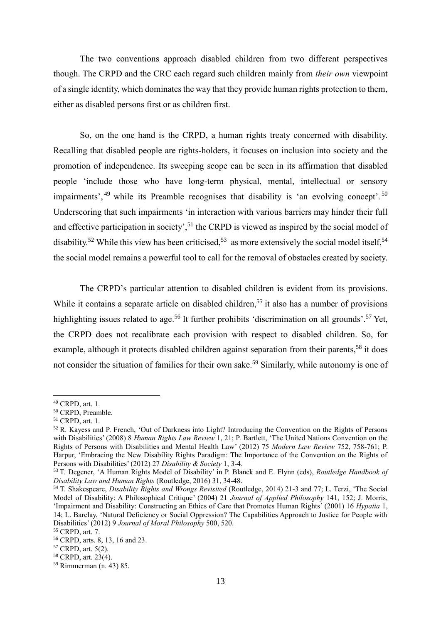The two conventions approach disabled children from two different perspectives though. The CRPD and the CRC each regard such children mainly from *their own* viewpoint of a single identity, which dominates the way that they provide human rights protection to them, either as disabled persons first or as children first.

So, on the one hand is the CRPD, a human rights treaty concerned with disability. Recalling that disabled people are rights-holders, it focuses on inclusion into society and the promotion of independence. Its sweeping scope can be seen in its affirmation that disabled people 'include those who have long-term physical, mental, intellectual or sensory impairments', <sup>49</sup> while its Preamble recognises that disability is 'an evolving concept'. <sup>50</sup> Underscoring that such impairments 'in interaction with various barriers may hinder their full and effective participation in society',<sup>51</sup> the CRPD is viewed as inspired by the social model of disability.<sup>52</sup> While this view has been criticised,<sup>53</sup> as more extensively the social model itself,<sup>54</sup> the social model remains a powerful tool to call for the removal of obstacles created by society.

The CRPD's particular attention to disabled children is evident from its provisions. While it contains a separate article on disabled children,<sup>55</sup> it also has a number of provisions highlighting issues related to age.<sup>56</sup> It further prohibits 'discrimination on all grounds'.<sup>57</sup> Yet, the CRPD does not recalibrate each provision with respect to disabled children. So, for example, although it protects disabled children against separation from their parents,<sup>58</sup> it does not consider the situation of families for their own sake. <sup>59</sup> Similarly, while autonomy is one of

<sup>49</sup> CRPD, art. 1.

<sup>50</sup> CRPD, Preamble.

<sup>51</sup> CRPD, art. 1.

<sup>52</sup> R. Kayess and P. French, 'Out of Darkness into Light? Introducing the Convention on the Rights of Persons with Disabilities' (2008) 8 *Human Rights Law Review* 1, 21; P. Bartlett, 'The United Nations Convention on the Rights of Persons with Disabilities and Mental Health Law' (2012) 75 *Modern Law Review* 752, 758-761; P. Harpur, 'Embracing the New Disability Rights Paradigm: The Importance of the Convention on the Rights of Persons with Disabilities' (2012) 27 *Disability & Society* 1, 3-4.

<sup>53</sup> T. Degener, 'A Human Rights Model of Disability' in P. Blanck and E. Flynn (eds), *Routledge Handbook of Disability Law and Human Rights* (Routledge, 2016) 31, 34-48.

<sup>54</sup> T. Shakespeare, *Disability Rights and Wrongs Revisited* (Routledge, 2014) 21-3 and 77; L. Terzi, 'The Social Model of Disability: A Philosophical Critique' (2004) 21 *Journal of Applied Philosophy* 141, 152; J. Morris, 'Impairment and Disability: Constructing an Ethics of Care that Promotes Human Rights' (2001) 16 *Hypatia* 1, 14; L. Barclay, 'Natural Deficiency or Social Oppression? The Capabilities Approach to Justice for People with Disabilities' (2012) 9 *Journal of Moral Philosophy* 500, 520.

<sup>55</sup> CRPD, art. 7.

<sup>56</sup> CRPD, arts. 8, 13, 16 and 23.

<sup>57</sup> CRPD, art. 5(2).

<sup>&</sup>lt;sup>58</sup> CRPD, art. 23(4).

<sup>59</sup> Rimmerman (n. 43) 85.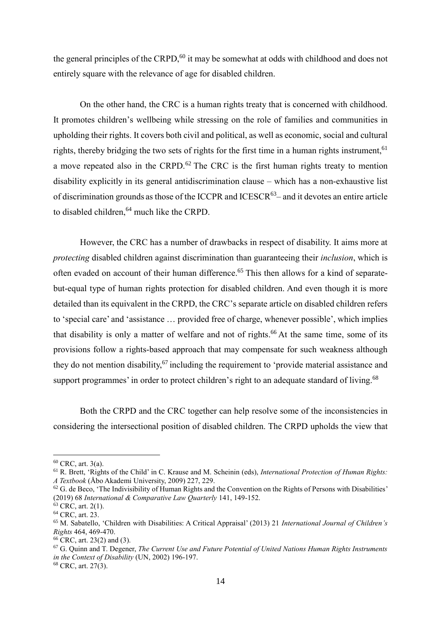the general principles of the CRPD,<sup>60</sup> it may be somewhat at odds with childhood and does not entirely square with the relevance of age for disabled children.

On the other hand, the CRC is a human rights treaty that is concerned with childhood. It promotes children's wellbeing while stressing on the role of families and communities in upholding their rights. It covers both civil and political, as well as economic, social and cultural rights, thereby bridging the two sets of rights for the first time in a human rights instrument,<sup>61</sup> a move repeated also in the CRPD. $62$  The CRC is the first human rights treaty to mention disability explicitly in its general antidiscrimination clause – which has a non-exhaustive list of discrimination grounds as those of the ICCPR and ICESCR<sup>63</sup> and it devotes an entire article to disabled children, <sup>64</sup> much like the CRPD.

However, the CRC has a number of drawbacks in respect of disability. It aims more at *protecting* disabled children against discrimination than guaranteeing their *inclusion*, which is often evaded on account of their human difference. <sup>65</sup> This then allows for a kind of separatebut-equal type of human rights protection for disabled children. And even though it is more detailed than its equivalent in the CRPD, the CRC's separate article on disabled children refers to 'special care' and 'assistance … provided free of charge, whenever possible', which implies that disability is only a matter of welfare and not of rights.<sup>66</sup> At the same time, some of its provisions follow a rights-based approach that may compensate for such weakness although they do not mention disability,<sup>67</sup> including the requirement to 'provide material assistance and support programmes' in order to protect children's right to an adequate standard of living.<sup>68</sup>

Both the CRPD and the CRC together can help resolve some of the inconsistencies in considering the intersectional position of disabled children. The CRPD upholds the view that

 $60$  CRC, art. 3(a).

<sup>61</sup> R. Brett, 'Rights of the Child' in C. Krause and M. Scheinin (eds), *International Protection of Human Rights: A Textbook* (Åbo Akademi University, 2009) 227, 229.

 $62$  G. de Beco, 'The Indivisibility of Human Rights and the Convention on the Rights of Persons with Disabilities' (2019) 68 *International & Comparative Law Quarterly* 141, 149-152.

 $63$  CRC, art. 2(1).

<sup>64</sup> CRC, art. 23.

<sup>65</sup> M. Sabatello, 'Children with Disabilities: A Critical Appraisal' (2013) 21 *International Journal of Children's Rights* 464, 469-470.

<sup>66</sup> CRC, art. 23(2) and (3).

<sup>67</sup> G. Quinn and T. Degener, *The Current Use and Future Potential of United Nations Human Rights Instruments in the Context of Disability* (UN, 2002) 196-197.

 $68$  CRC, art. 27(3).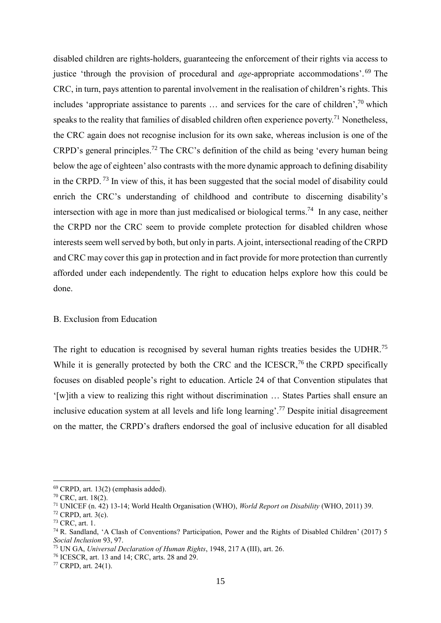disabled children are rights-holders, guaranteeing the enforcement of their rights via access to justice 'through the provision of procedural and *age*-appropriate accommodations'.<sup>69</sup> The CRC, in turn, pays attention to parental involvement in the realisation of children's rights. This includes 'appropriate assistance to parents  $\ldots$  and services for the care of children',<sup>70</sup> which speaks to the reality that families of disabled children often experience poverty.<sup>71</sup> Nonetheless, the CRC again does not recognise inclusion for its own sake, whereas inclusion is one of the CRPD's general principles. <sup>72</sup> The CRC's definition of the child as being 'every human being below the age of eighteen' also contrasts with the more dynamic approach to defining disability in the CRPD.<sup>73</sup> In view of this, it has been suggested that the social model of disability could enrich the CRC's understanding of childhood and contribute to discerning disability's intersection with age in more than just medicalised or biological terms.<sup>74</sup> In any case, neither the CRPD nor the CRC seem to provide complete protection for disabled children whose interests seem well served by both, but only in parts. Ajoint, intersectional reading of the CRPD and CRC may cover this gap in protection and in fact provide for more protection than currently afforded under each independently. The right to education helps explore how this could be done.

## B. Exclusion from Education

The right to education is recognised by several human rights treaties besides the UDHR.<sup>75</sup> While it is generally protected by both the CRC and the ICESCR,<sup>76</sup> the CRPD specifically focuses on disabled people's right to education. Article 24 of that Convention stipulates that '[w]ith a view to realizing this right without discrimination … States Parties shall ensure an inclusive education system at all levels and life long learning'. <sup>77</sup> Despite initial disagreement on the matter, the CRPD's drafters endorsed the goal of inclusive education for all disabled

 $69$  CRPD, art. 13(2) (emphasis added).

<sup>70</sup> CRC, art. 18(2).

<sup>71</sup> UNICEF (n. 42) 13-14; World Health Organisation (WHO), *World Report on Disability* (WHO, 2011) 39.

 $72$  CRPD, art.  $3(c)$ .

<sup>73</sup> CRC, art. 1.

<sup>74</sup> R. Sandland, 'A Clash of Conventions? Participation, Power and the Rights of Disabled Children' (2017) 5 *Social Inclusion* 93, 97.

<sup>75</sup> UN GA, *Universal Declaration of Human Rights*, 1948, 217 A (III), art. 26.

<sup>76</sup> ICESCR, art. 13 and 14; CRC, arts. 28 and 29.

<sup>77</sup> CRPD, art. 24(1).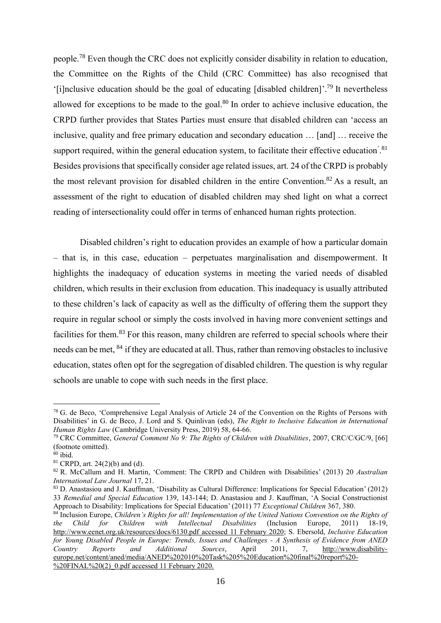people.<sup>78</sup> Even though the CRC does not explicitly consider disability in relation to education, the Committee on the Rights of the Child (CRC Committee) has also recognised that '[i]nclusive education should be the goal of educating [disabled children]'.<sup>79</sup> It nevertheless allowed for exceptions to be made to the goal.<sup>80</sup> In order to achieve inclusive education, the CRPD further provides that States Parties must ensure that disabled children can 'access an inclusive, quality and free primary education and secondary education … [and] … receive the support required, within the general education system, to facilitate their effective education<sup>'81</sup> Besides provisions that specifically consider age related issues, art. 24 of the CRPD is probably the most relevant provision for disabled children in the entire Convention.<sup>82</sup> As a result, an assessment of the right to education of disabled children may shed light on what a correct reading of intersectionality could offer in terms of enhanced human rights protection.

Disabled children's right to education provides an example of how a particular domain – that is, in this case, education – perpetuates marginalisation and disempowerment. It highlights the inadequacy of education systems in meeting the varied needs of disabled children, which results in their exclusion from education. This inadequacy is usually attributed to these children's lack of capacity as well as the difficulty of offering them the support they require in regular school or simply the costs involved in having more convenient settings and facilities for them.<sup>83</sup> For this reason, many children are referred to special schools where their needs can be met, <sup>84</sup> if they are educated at all. Thus, rather than removing obstacles to inclusive education, states often opt for the segregation of disabled children. The question is why regular schools are unable to cope with such needs in the first place.

<sup>78</sup> G. de Beco, 'Comprehensive Legal Analysis of Article 24 of the Convention on the Rights of Persons with Disabilities' in G. de Beco, J. Lord and S. Quinlivan (eds), *The Right to Inclusive Education in International Human Rights Law* (Cambridge University Press, 2019) 58, 64-66.

<sup>79</sup> CRC Committee, *General Comment No 9: The Rights of Children with Disabilities*, 2007, CRC/C/GC/9, [66] (footnote omitted).

 $80$  ibid.

 $81$  CRPD, art. 24(2)(b) and (d).

<sup>82</sup> R. McCallum and H. Martin, 'Comment: The CRPD and Children with Disabilities' (2013) 20 *Australian International Law Journal* 17, 21.

<sup>83</sup> D. Anastasiou and J. Kauffman, 'Disability as Cultural Difference: Implications for Special Education' (2012) 33 *Remedial and Special Education* 139, 143-144; D. Anastasiou and J. Kauffman, 'A Social Constructionist Approach to Disability: Implications for Special Education' (2011) 77 *Exceptional Children* 367, 380.

<sup>84</sup> Inclusion Europe, *Children's Rights for all! Implementation of the United Nations Convention on the Rights of the Child for Children with Intellectual Disabilities* (Inclusion Europe, 2011) 18-19, <http://www.eenet.org.uk/resources/docs/6130.pdf> accessed 11 February 2020; S. Ebersold, *Inclusive Education for Young Disabled People in Europe: Trends, Issues and Challenges - A Synthesis of Evidence from ANED Country Reports and Additional Sources*, April 2011, 7, [http://www.disability](http://www.disability-europe.net/content/aned/media/ANED%202010%20Task%205%20Education%20final%20report%20-%20FINAL%20(2)_0.pdf)[europe.net/content/aned/media/ANED%202010%20Task%205%20Education%20final%20report%20-](http://www.disability-europe.net/content/aned/media/ANED%202010%20Task%205%20Education%20final%20report%20-%20FINAL%20(2)_0.pdf)  $\sqrt[6]{20$ FINAL%20(2) 0.pdf accessed 11 February 2020.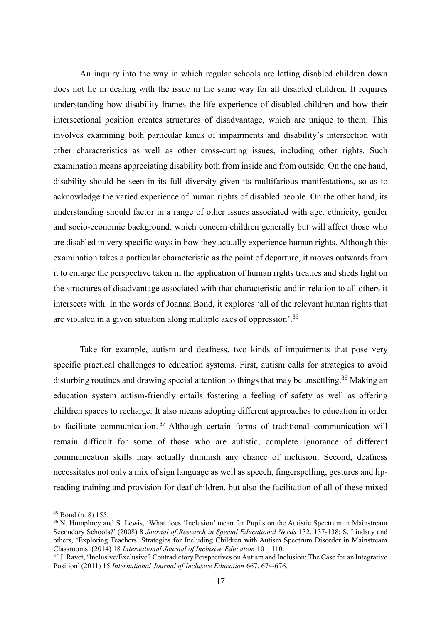An inquiry into the way in which regular schools are letting disabled children down does not lie in dealing with the issue in the same way for all disabled children. It requires understanding how disability frames the life experience of disabled children and how their intersectional position creates structures of disadvantage, which are unique to them. This involves examining both particular kinds of impairments and disability's intersection with other characteristics as well as other cross-cutting issues, including other rights. Such examination means appreciating disability both from inside and from outside. On the one hand, disability should be seen in its full diversity given its multifarious manifestations, so as to acknowledge the varied experience of human rights of disabled people. On the other hand, its understanding should factor in a range of other issues associated with age, ethnicity, gender and socio-economic background, which concern children generally but will affect those who are disabled in very specific ways in how they actually experience human rights. Although this examination takes a particular characteristic as the point of departure, it moves outwards from it to enlarge the perspective taken in the application of human rights treaties and sheds light on the structures of disadvantage associated with that characteristic and in relation to all others it intersects with. In the words of Joanna Bond, it explores 'all of the relevant human rights that are violated in a given situation along multiple axes of oppression'.<sup>85</sup>

Take for example, autism and deafness, two kinds of impairments that pose very specific practical challenges to education systems. First, autism calls for strategies to avoid disturbing routines and drawing special attention to things that may be unsettling.<sup>86</sup> Making an education system autism-friendly entails fostering a feeling of safety as well as offering children spaces to recharge. It also means adopting different approaches to education in order to facilitate communication. <sup>87</sup> Although certain forms of traditional communication will remain difficult for some of those who are autistic, complete ignorance of different communication skills may actually diminish any chance of inclusion. Second, deafness necessitates not only a mix of sign language as well as speech, fingerspelling, gestures and lipreading training and provision for deaf children, but also the facilitation of all of these mixed

<sup>85</sup> Bond (n. 8) 155.

<sup>&</sup>lt;sup>86</sup> N. Humphrey and S. Lewis, 'What does 'Inclusion' mean for Pupils on the Autistic Spectrum in Mainstream Secondary Schools?' (2008) 8 *Journal of Research in Special Educational Needs* 132, 137-138; S. Lindsay and others, 'Exploring Teachers' Strategies for Including Children with Autism Spectrum Disorder in Mainstream Classrooms' (2014) 18 *International Journal of Inclusive Education* 101, 110.

<sup>87</sup> J. Ravet, 'Inclusive/Exclusive? Contradictory Perspectives on Autism and Inclusion: The Case for an Integrative Position' (2011) 15 *International Journal of Inclusive Education* 667, 674-676.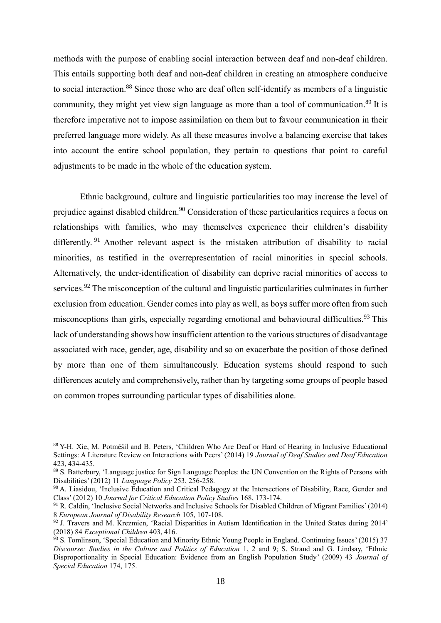methods with the purpose of enabling social interaction between deaf and non-deaf children. This entails supporting both deaf and non-deaf children in creating an atmosphere conducive to social interaction.<sup>88</sup> Since those who are deaf often self-identify as members of a linguistic community, they might yet view sign language as more than a tool of communication.<sup>89</sup> It is therefore imperative not to impose assimilation on them but to favour communication in their preferred language more widely. As all these measures involve a balancing exercise that takes into account the entire school population, they pertain to questions that point to careful adjustments to be made in the whole of the education system.

Ethnic background, culture and linguistic particularities too may increase the level of prejudice against disabled children.<sup>90</sup> Consideration of these particularities requires a focus on relationships with families, who may themselves experience their children's disability differently.<sup>91</sup> Another relevant aspect is the mistaken attribution of disability to racial minorities, as testified in the overrepresentation of racial minorities in special schools. Alternatively, the under-identification of disability can deprive racial minorities of access to services.<sup>92</sup> The misconception of the cultural and linguistic particularities culminates in further exclusion from education. Gender comes into play as well, as boys suffer more often from such misconceptions than girls, especially regarding emotional and behavioural difficulties.<sup>93</sup> This lack of understanding shows how insufficient attention to the various structures of disadvantage associated with race, gender, age, disability and so on exacerbate the position of those defined by more than one of them simultaneously. Education systems should respond to such differences acutely and comprehensively, rather than by targeting some groups of people based on common tropes surrounding particular types of disabilities alone.

<sup>88</sup> Y-H. Xie, M. Potměšil and B. Peters, 'Children Who Are Deaf or Hard of Hearing in Inclusive Educational Settings: A Literature Review on Interactions with Peers' (2014) 19 *Journal of Deaf Studies and Deaf Education*  423, 434-435.

<sup>89</sup> S. Batterbury, 'Language justice for Sign Language Peoples: the UN Convention on the Rights of Persons with Disabilities' (2012) 11 *Language Policy* 253, 256-258.

<sup>90</sup> A. Liasidou, 'Inclusive Education and Critical Pedagogy at the Intersections of Disability, Race, Gender and Class' (2012) 10 *Journal for Critical Education Policy Studies* 168, 173-174.

<sup>91</sup> R. Caldin, 'Inclusive Social Networks and Inclusive Schools for Disabled Children of Migrant Families' (2014) 8 *European Journal of Disability Research* 105, 107-108.

<sup>&</sup>lt;sup>92</sup> J. Travers and M. Krezmien, 'Racial Disparities in Autism Identification in the United States during 2014' (2018) 84 *Exceptional Children* 403, 416.

 $93$  S. Tomlinson, 'Special Education and Minority Ethnic Young People in England. Continuing Issues' (2015) 37 *Discourse: Studies in the Culture and Politics of Education* 1, 2 and 9; S. Strand and G. Lindsay, 'Ethnic Disproportionality in Special Education: Evidence from an English Population Study' (2009) 43 *Journal of Special Education* 174, 175.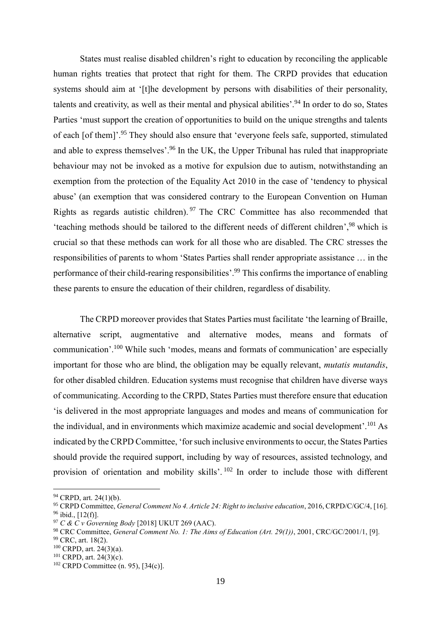States must realise disabled children's right to education by reconciling the applicable human rights treaties that protect that right for them. The CRPD provides that education systems should aim at '[t]he development by persons with disabilities of their personality, talents and creativity, as well as their mental and physical abilities'.<sup>94</sup> In order to do so, States Parties 'must support the creation of opportunities to build on the unique strengths and talents of each [of them]'.<sup>95</sup> They should also ensure that 'everyone feels safe, supported, stimulated and able to express themselves'.<sup>96</sup> In the UK, the Upper Tribunal has ruled that inappropriate behaviour may not be invoked as a motive for expulsion due to autism, notwithstanding an exemption from the protection of the Equality Act 2010 in the case of 'tendency to physical abuse' (an exemption that was considered contrary to the European Convention on Human Rights as regards autistic children). 97 The CRC Committee has also recommended that 'teaching methods should be tailored to the different needs of different children',<sup>98</sup> which is crucial so that these methods can work for all those who are disabled. The CRC stresses the responsibilities of parents to whom 'States Parties shall render appropriate assistance … in the performance of their child-rearing responsibilities'.<sup>99</sup> This confirms the importance of enabling these parents to ensure the education of their children, regardless of disability.

The CRPD moreover provides that States Parties must facilitate 'the learning of Braille, alternative script, augmentative and alternative modes, means and formats of communication'.<sup>100</sup> While such 'modes, means and formats of communication' are especially important for those who are blind, the obligation may be equally relevant, *mutatis mutandis*, for other disabled children. Education systems must recognise that children have diverse ways of communicating. According to the CRPD, States Parties must therefore ensure that education 'is delivered in the most appropriate languages and modes and means of communication for the individual, and in environments which maximize academic and social development'.<sup>101</sup> As indicated by the CRPD Committee, 'for such inclusive environments to occur, the States Parties should provide the required support, including by way of resources, assisted technology, and provision of orientation and mobility skills'.<sup>102</sup> In order to include those with different

<sup>94</sup> CRPD, art. 24(1)(b).

<sup>95</sup> CRPD Committee, *General Comment No 4. Article 24: Right to inclusive education*, 2016, CRPD/C/GC/4, [16].  $96$  ibid., [12(f)].

<sup>97</sup> *C & C v Governing Body* [2018] UKUT 269 (AAC).

<sup>98</sup> CRC Committee, *General Comment No. 1: The Aims of Education (Art. 29(1))*, 2001, CRC/GC/2001/1, [9].

<sup>99</sup> CRC, art. 18(2).

<sup>100</sup> CRPD, art. 24(3)(a).

 $101$  CRPD, art. 24(3)(c).

<sup>102</sup> CRPD Committee (n. 95), [34(c)].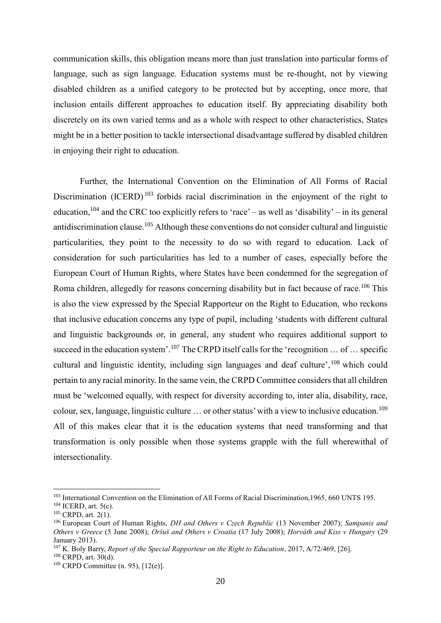communication skills, this obligation means more than just translation into particular forms of language, such as sign language. Education systems must be re-thought, not by viewing disabled children as a unified category to be protected but by accepting, once more, that inclusion entails different approaches to education itself. By appreciating disability both discretely on its own varied terms and as a whole with respect to other characteristics, States might be in a better position to tackle intersectional disadvantage suffered by disabled children in enjoying their right to education.

Further, the International Convention on the Elimination of All Forms of Racial Discrimination (ICERD)<sup>103</sup> forbids racial discrimination in the enjoyment of the right to education,  $104$  and the CRC too explicitly refers to 'race' – as well as 'disability' – in its general antidiscrimination clause.<sup>105</sup> Although these conventions do not consider cultural and linguistic particularities, they point to the necessity to do so with regard to education. Lack of consideration for such particularities has led to a number of cases, especially before the European Court of Human Rights, where States have been condemned for the segregation of Roma children, allegedly for reasons concerning disability but in fact because of race.<sup>106</sup> This is also the view expressed by the Special Rapporteur on the Right to Education, who reckons that inclusive education concerns any type of pupil, including 'students with different cultural and linguistic backgrounds or, in general, any student who requires additional support to succeed in the education system'.<sup>107</sup> The CRPD itself calls for the 'recognition ... of ... specific cultural and linguistic identity, including sign languages and deaf culture', <sup>108</sup> which could pertain to any racial minority. In the same vein, the CRPD Committee considers that all children must be 'welcomed equally, with respect for diversity according to, inter alia, disability, race, colour, sex, language, linguistic culture ... or other status' with a view to inclusive education.<sup>109</sup> All of this makes clear that it is the education systems that need transforming and that transformation is only possible when those systems grapple with the full wherewithal of intersectionality.

<sup>&</sup>lt;sup>103</sup> International Convention on the Elimination of All Forms of Racial Discrimination,1965, 660 UNTS 195.

 $104$  ICERD, art. 5(c).

<sup>105</sup> CRPD, art. 2(1).

<sup>106</sup> European Court of Human Rights, *DH and Others v Czech Republic* (13 November 2007); *Sampanis and Others v Greece* (5 June 2008); *Oršuš and Others v Croatia* (17 July 2008); *Horváth and Kiss v Hungary* (29 January 2013).

<sup>107</sup> K. Boly Barry, *Report of the Special Rapporteur on the Right to Education*, 2017, A/72/469, [26].

 $108$  CRPD, art.  $30(d)$ .

<sup>109</sup> CRPD Committee (n. 95), [12(e)].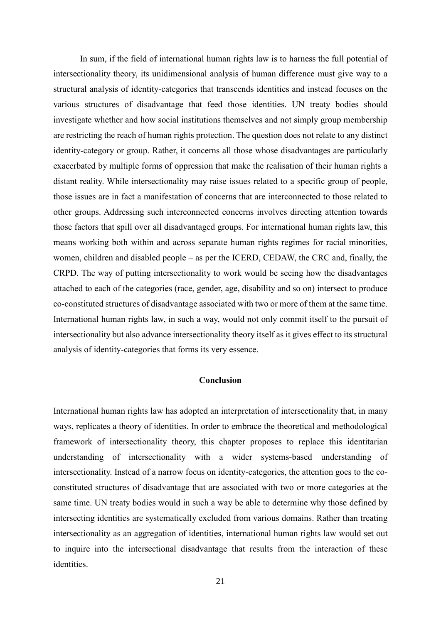In sum, if the field of international human rights law is to harness the full potential of intersectionality theory, its unidimensional analysis of human difference must give way to a structural analysis of identity-categories that transcends identities and instead focuses on the various structures of disadvantage that feed those identities. UN treaty bodies should investigate whether and how social institutions themselves and not simply group membership are restricting the reach of human rights protection. The question does not relate to any distinct identity-category or group. Rather, it concerns all those whose disadvantages are particularly exacerbated by multiple forms of oppression that make the realisation of their human rights a distant reality. While intersectionality may raise issues related to a specific group of people, those issues are in fact a manifestation of concerns that are interconnected to those related to other groups. Addressing such interconnected concerns involves directing attention towards those factors that spill over all disadvantaged groups. For international human rights law, this means working both within and across separate human rights regimes for racial minorities, women, children and disabled people – as per the ICERD, CEDAW, the CRC and, finally, the CRPD. The way of putting intersectionality to work would be seeing how the disadvantages attached to each of the categories (race, gender, age, disability and so on) intersect to produce co-constituted structures of disadvantage associated with two or more of them at the same time. International human rights law, in such a way, would not only commit itself to the pursuit of intersectionality but also advance intersectionality theory itself as it gives effect to its structural analysis of identity-categories that forms its very essence.

# **Conclusion**

International human rights law has adopted an interpretation of intersectionality that, in many ways, replicates a theory of identities. In order to embrace the theoretical and methodological framework of intersectionality theory, this chapter proposes to replace this identitarian understanding of intersectionality with a wider systems-based understanding of intersectionality. Instead of a narrow focus on identity-categories, the attention goes to the coconstituted structures of disadvantage that are associated with two or more categories at the same time. UN treaty bodies would in such a way be able to determine why those defined by intersecting identities are systematically excluded from various domains. Rather than treating intersectionality as an aggregation of identities, international human rights law would set out to inquire into the intersectional disadvantage that results from the interaction of these identities.